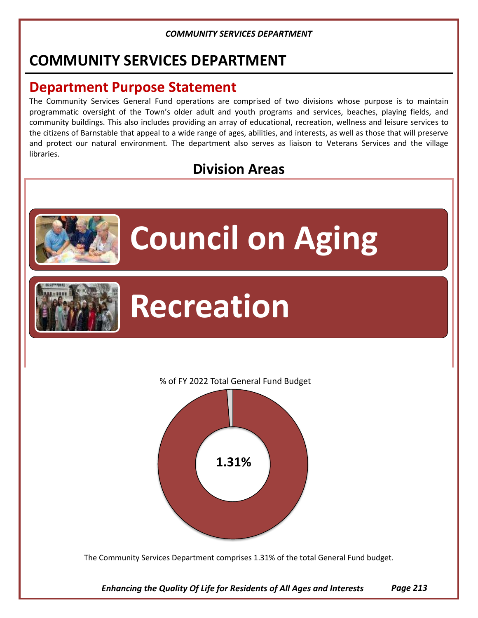## **COMMUNITY SERVICES DEPARTMENT**

### **Department Purpose Statement**

The Community Services General Fund operations are comprised of two divisions whose purpose is to maintain programmatic oversight of the Town's older adult and youth programs and services, beaches, playing fields, and community buildings. This also includes providing an array of educational, recreation, wellness and leisure services to the citizens of Barnstable that appeal to a wide range of ages, abilities, and interests, as well as those that will preserve and protect our natural environment. The department also serves as liaison to Veterans Services and the village libraries.

### **Division Areas**



# **Council on Aging**



## **Recreation**

#### % of FY 2022 Total General Fund Budget



The Community Services Department comprises 1.31% of the total General Fund budget.

*Enhancing the Quality Of Life for Residents of All Ages and Interests Page 213*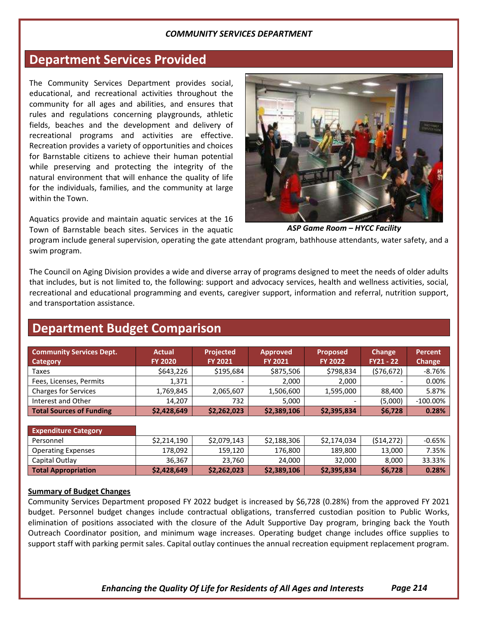### **Department Services Provided**

The Community Services Department provides social, educational, and recreational activities throughout the community for all ages and abilities, and ensures that rules and regulations concerning playgrounds, athletic fields, beaches and the development and delivery of recreational programs and activities are effective. Recreation provides a variety of opportunities and choices for Barnstable citizens to achieve their human potential while preserving and protecting the integrity of the natural environment that will enhance the quality of life for the individuals, families, and the community at large within the Town.

Aquatics provide and maintain aquatic services at the 16 Town of Barnstable beach sites. Services in the aquatic



*ASP Game Room – HYCC Facility*

program include general supervision, operating the gate attendant program, bathhouse attendants, water safety, and a swim program.

The Council on Aging Division provides a wide and diverse array of programs designed to meet the needs of older adults that includes, but is not limited to, the following: support and advocacy services, health and wellness activities, social, recreational and educational programming and events, caregiver support, information and referral, nutrition support, and transportation assistance.

### **Department Budget Comparison**

| <b>Community Services Dept.</b><br>Category | <b>Actual</b><br><b>FY 2020</b> | <b>Projected</b><br><b>FY 2021</b> | <b>Approved</b><br><b>FY 2021</b> | <b>Proposed</b><br><b>FY 2022</b> | Change<br>$FY21 - 22$ | Percent<br><b>Change</b> |
|---------------------------------------------|---------------------------------|------------------------------------|-----------------------------------|-----------------------------------|-----------------------|--------------------------|
| Taxes                                       | \$643,226                       | \$195,684                          | \$875,506                         | \$798,834                         | (576, 672)            | $-8.76%$                 |
| Fees, Licenses, Permits                     | 1.371                           |                                    | 2.000                             | 2.000                             |                       | 0.00%                    |
| <b>Charges for Services</b>                 | 1,769,845                       | 2,065,607                          | 1,506,600                         | 1,595,000                         | 88.400                | 5.87%                    |
| Interest and Other                          | 14.207                          | 732                                | 5.000                             |                                   | (5,000)               | $-100.00\%$              |
| <b>Total Sources of Funding</b>             | \$2,428,649                     | \$2,262,023                        | \$2,389,106                       | \$2,395,834                       | \$6,728               | 0.28%                    |

| <b>Expenditure Category</b> |             |             |             |             |            |           |
|-----------------------------|-------------|-------------|-------------|-------------|------------|-----------|
| Personnel                   | \$2,214,190 | \$2,079,143 | \$2,188,306 | \$2,174,034 | (514, 272) | $-0.65\%$ |
| <b>Operating Expenses</b>   | 178,092     | 159,120     | 176,800     | 189,800     | 13,000     | 7.35%     |
| Capital Outlay              | 36,367      | 23.760      | 24,000      | 32,000      | 8,000      | 33.33%    |
| <b>Total Appropriation</b>  | \$2,428,649 | \$2,262,023 | \$2,389,106 | \$2,395,834 | \$6,728    | 0.28%     |

#### **Summary of Budget Changes**

Community Services Department proposed FY 2022 budget is increased by \$6,728 (0.28%) from the approved FY 2021 budget. Personnel budget changes include contractual obligations, transferred custodian position to Public Works, elimination of positions associated with the closure of the Adult Supportive Day program, bringing back the Youth Outreach Coordinator position, and minimum wage increases. Operating budget change includes office supplies to support staff with parking permit sales. Capital outlay continues the annual recreation equipment replacement program.

*Enhancing the Quality Of Life for Residents of All Ages and Interests Page 214*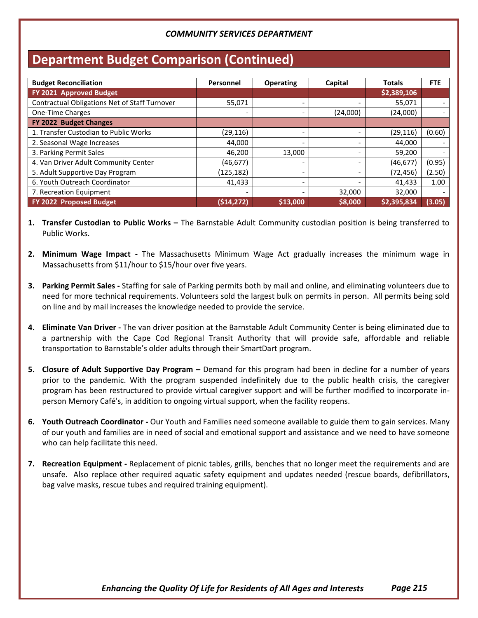### **Department Budget Comparison (Continued)**

| <b>Budget Reconciliation</b>                  | Personnel  | <b>Operating</b>         | Capital  | <b>Totals</b> | <b>FTE</b> |
|-----------------------------------------------|------------|--------------------------|----------|---------------|------------|
| FY 2021 Approved Budget                       |            |                          |          | \$2,389,106   |            |
| Contractual Obligations Net of Staff Turnover | 55,071     | -                        |          | 55,071        |            |
| <b>One-Time Charges</b>                       |            |                          | (24,000) | (24,000)      |            |
| FY 2022 Budget Changes                        |            |                          |          |               |            |
| 1. Transfer Custodian to Public Works         | (29, 116)  |                          |          | (29, 116)     | (0.60)     |
| 2. Seasonal Wage Increases                    | 44,000     |                          |          | 44,000        |            |
| 3. Parking Permit Sales                       | 46,200     | 13,000                   |          | 59,200        |            |
| 4. Van Driver Adult Community Center          | (46,677)   |                          |          | (46, 677)     | (0.95)     |
| 5. Adult Supportive Day Program               | (125, 182) | $\qquad \qquad$          |          | (72, 456)     | (2.50)     |
| 6. Youth Outreach Coordinator                 | 41,433     | $\overline{\phantom{0}}$ |          | 41,433        | 1.00       |
| 7. Recreation Equipment                       |            |                          | 32,000   | 32,000        |            |
| FY 2022 Proposed Budget                       | (514, 272) | \$13,000                 | \$8,000  | \$2,395,834   | (3.05)     |

- **1. Transfer Custodian to Public Works –** The Barnstable Adult Community custodian position is being transferred to Public Works.
- **2. Minimum Wage Impact -** The Massachusetts Minimum Wage Act gradually increases the minimum wage in Massachusetts from \$11/hour to \$15/hour over five years.
- **3. Parking Permit Sales -** Staffing for sale of Parking permits both by mail and online, and eliminating volunteers due to need for more technical requirements. Volunteers sold the largest bulk on permits in person. All permits being sold on line and by mail increases the knowledge needed to provide the service.
- **4. Eliminate Van Driver -** The van driver position at the Barnstable Adult Community Center is being eliminated due to a partnership with the Cape Cod Regional Transit Authority that will provide safe, affordable and reliable transportation to Barnstable's older adults through their SmartDart program.
- **5. Closure of Adult Supportive Day Program –** Demand for this program had been in decline for a number of years prior to the pandemic. With the program suspended indefinitely due to the public health crisis, the caregiver program has been restructured to provide virtual caregiver support and will be further modified to incorporate inperson Memory Café's, in addition to ongoing virtual support, when the facility reopens.
- **6. Youth Outreach Coordinator -** Our Youth and Families need someone available to guide them to gain services. Many of our youth and families are in need of social and emotional support and assistance and we need to have someone who can help facilitate this need.
- **7. Recreation Equipment -** Replacement of picnic tables, grills, benches that no longer meet the requirements and are unsafe. Also replace other required aquatic safety equipment and updates needed (rescue boards, defibrillators, bag valve masks, rescue tubes and required training equipment).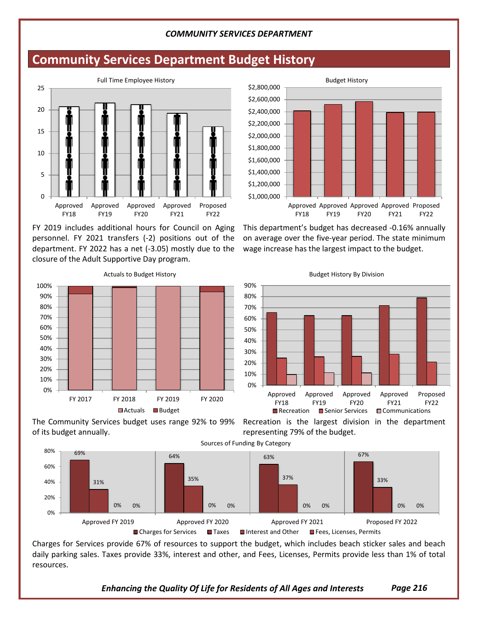### **Community Services Department Budget History**



FY 2019 includes additional hours for Council on Aging personnel. FY 2021 transfers (-2) positions out of the department. FY 2022 has a net (-3.05) mostly due to the closure of the Adult Supportive Day program.



of its budget annually.

\$1,000,000 \$1,200,000 \$1,400,000 \$1,600,000 \$1,800,000 \$2,000,000 \$2,200,000 \$2,400,000 \$2,600,000 \$2,800,000 Approved Approved Approved Approved Proposed FY18 FY19 FY20 FY21 FY22 Budget History

This department's budget has decreased -0.16% annually on average over the five-year period. The state minimum wage increase has the largest impact to the budget.



Recreation is the largest division in the department representing 79% of the budget.



Charges for Services provide 67% of resources to support the budget, which includes beach sticker sales and beach daily parking sales. Taxes provide 33%, interest and other, and Fees, Licenses, Permits provide less than 1% of total resources.

*Enhancing the Quality Of Life for Residents of All Ages and Interests Page 216*

Budget History By Division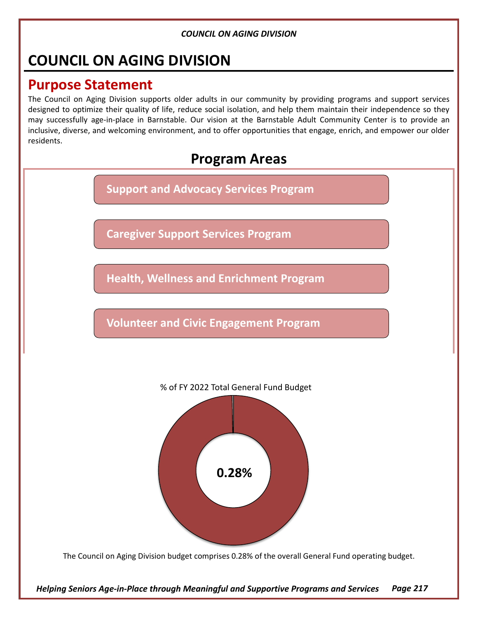### **COUNCIL ON AGING DIVISION**

### **Purpose Statement**

The Council on Aging Division supports older adults in our community by providing programs and support services designed to optimize their quality of life, reduce social isolation, and help them maintain their independence so they may successfully age-in-place in Barnstable. Our vision at the Barnstable Adult Community Center is to provide an inclusive, diverse, and welcoming environment, and to offer opportunities that engage, enrich, and empower our older residents.

### **Program Areas**

**Support and Advocacy Services Program**

**Caregiver Support Services Program**

**Health, Wellness and Enrichment Program**

**Volunteer and Civic Engagement Program**



The Council on Aging Division budget comprises 0.28% of the overall General Fund operating budget.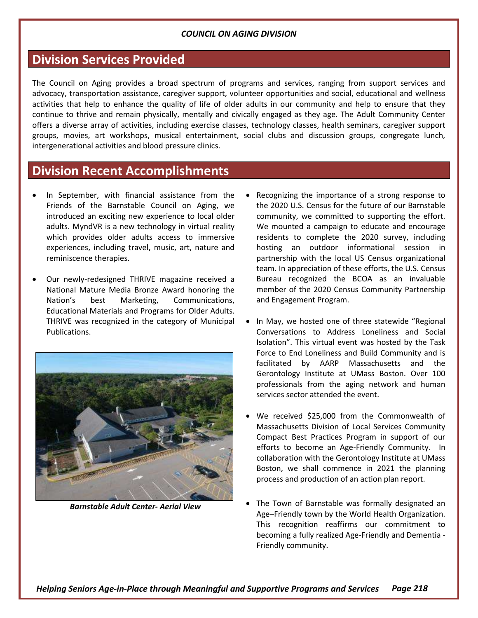### **Division Services Provided**

The Council on Aging provides a broad spectrum of programs and services, ranging from support services and advocacy, transportation assistance, caregiver support, volunteer opportunities and social, educational and wellness activities that help to enhance the quality of life of older adults in our community and help to ensure that they continue to thrive and remain physically, mentally and civically engaged as they age. The Adult Community Center offers a diverse array of activities, including exercise classes, technology classes, health seminars, caregiver support groups, movies, art workshops, musical entertainment, social clubs and discussion groups, congregate lunch, intergenerational activities and blood pressure clinics.

### **Division Recent Accomplishments**

- In September, with financial assistance from the Friends of the Barnstable Council on Aging, we introduced an exciting new experience to local older adults. MyndVR is a new technology in virtual reality which provides older adults access to immersive experiences, including travel, music, art, nature and reminiscence therapies.
- Our newly-redesigned THRIVE magazine received a National Mature Media Bronze Award honoring the Nation's best Marketing, Communications, Educational Materials and Programs for Older Adults. THRIVE was recognized in the category of Municipal Publications.



*Barnstable Adult Center- Aerial View*

- Recognizing the importance of a strong response to the 2020 U.S. Census for the future of our Barnstable community, we committed to supporting the effort. We mounted a campaign to educate and encourage residents to complete the 2020 survey, including hosting an outdoor informational session in partnership with the local US Census organizational team. In appreciation of these efforts, the U.S. Census Bureau recognized the BCOA as an invaluable member of the 2020 Census Community Partnership and Engagement Program.
- In May, we hosted one of three statewide "Regional Conversations to Address Loneliness and Social Isolation". This virtual event was hosted by the Task Force to End Loneliness and Build Community and is facilitated by AARP Massachusetts and the Gerontology Institute at UMass Boston. Over 100 professionals from the aging network and human services sector attended the event.
- We received \$25,000 from the Commonwealth of Massachusetts Division of Local Services Community Compact Best Practices Program in support of our efforts to become an Age-Friendly Community. In collaboration with the Gerontology Institute at UMass Boston, we shall commence in 2021 the planning process and production of an action plan report.
- The Town of Barnstable was formally designated an Age–Friendly town by the World Health Organization. This recognition reaffirms our commitment to becoming a fully realized Age-Friendly and Dementia - Friendly community.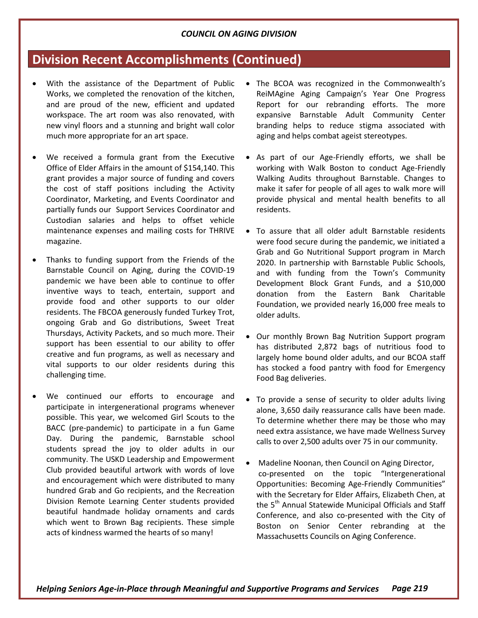### **Division Recent Accomplishments (Continued)**

- With the assistance of the Department of Public Works, we completed the renovation of the kitchen, and are proud of the new, efficient and updated workspace. The art room was also renovated, with new vinyl floors and a stunning and bright wall color much more appropriate for an art space.
- We received a formula grant from the Executive Office of Elder Affairs in the amount of \$154,140. This grant provides a major source of funding and covers the cost of staff positions including the Activity Coordinator, Marketing, and Events Coordinator and partially funds our Support Services Coordinator and Custodian salaries and helps to offset vehicle maintenance expenses and mailing costs for THRIVE magazine.
- Thanks to funding support from the Friends of the Barnstable Council on Aging, during the COVID-19 pandemic we have been able to continue to offer inventive ways to teach, entertain, support and provide food and other supports to our older residents. The FBCOA generously funded Turkey Trot, ongoing Grab and Go distributions, Sweet Treat Thursdays, Activity Packets, and so much more. Their support has been essential to our ability to offer creative and fun programs, as well as necessary and vital supports to our older residents during this challenging time.
- We continued our efforts to encourage and participate in intergenerational programs whenever possible. This year, we welcomed Girl Scouts to the BACC (pre-pandemic) to participate in a fun Game Day. During the pandemic, Barnstable school students spread the joy to older adults in our community. The USKD Leadership and Empowerment Club provided beautiful artwork with words of love and encouragement which were distributed to many hundred Grab and Go recipients, and the Recreation Division Remote Learning Center students provided beautiful handmade holiday ornaments and cards which went to Brown Bag recipients. These simple acts of kindness warmed the hearts of so many!
- The BCOA was recognized in the Commonwealth's ReiMAgine Aging Campaign's Year One Progress Report for our rebranding efforts. The more expansive Barnstable Adult Community Center branding helps to reduce stigma associated with aging and helps combat ageist stereotypes.
- As part of our Age-Friendly efforts, we shall be working with Walk Boston to conduct Age-Friendly Walking Audits throughout Barnstable. Changes to make it safer for people of all ages to walk more will provide physical and mental health benefits to all residents.
- To assure that all older adult Barnstable residents were food secure during the pandemic, we initiated a Grab and Go Nutritional Support program in March 2020. In partnership with Barnstable Public Schools, and with funding from the Town's Community Development Block Grant Funds, and a \$10,000 donation from the Eastern Bank Charitable Foundation, we provided nearly 16,000 free meals to older adults.
- Our monthly Brown Bag Nutrition Support program has distributed 2,872 bags of nutritious food to largely home bound older adults, and our BCOA staff has stocked a food pantry with food for Emergency Food Bag deliveries.
- To provide a sense of security to older adults living alone, 3,650 daily reassurance calls have been made. To determine whether there may be those who may need extra assistance, we have made Wellness Survey calls to over 2,500 adults over 75 in our community.
- Madeline Noonan, then Council on Aging Director, co-presented on the topic "Intergenerational Opportunities: Becoming Age-Friendly Communities" with the Secretary for Elder Affairs, Elizabeth Chen, at the 5<sup>th</sup> Annual Statewide Municipal Officials and Staff Conference, and also co-presented with the City of Boston on Senior Center rebranding at the Massachusetts Councils on Aging Conference.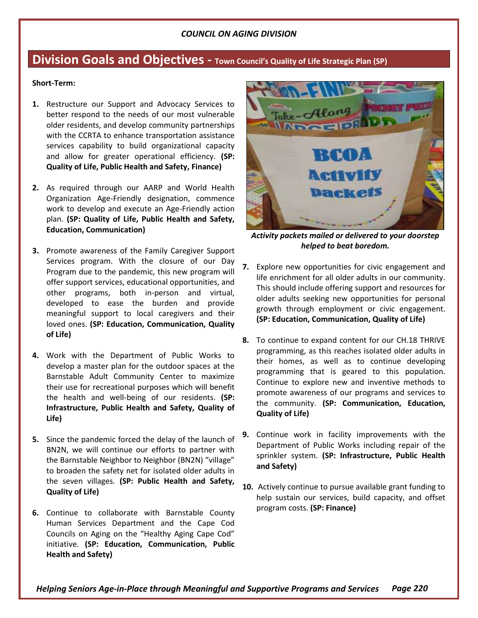### **Division Goals and Objectives - Town Council's Quality of Life Strategic Plan (SP)**

#### **Short-Term:**

- **1.** Restructure our Support and Advocacy Services to better respond to the needs of our most vulnerable older residents, and develop community partnerships with the CCRTA to enhance transportation assistance services capability to build organizational capacity and allow for greater operational efficiency. **(SP: Quality of Life, Public Health and Safety, Finance)**
- **2.** As required through our AARP and World Health Organization Age-Friendly designation, commence work to develop and execute an Age-Friendly action plan. **(SP: Quality of Life, Public Health and Safety, Education, Communication)**
- **3.** Promote awareness of the Family Caregiver Support Services program. With the closure of our Day Program due to the pandemic, this new program will offer support services, educational opportunities, and other programs, both in-person and virtual, developed to ease the burden and provide meaningful support to local caregivers and their loved ones. **(SP: Education, Communication, Quality of Life)**
- **4.** Work with the Department of Public Works to develop a master plan for the outdoor spaces at the Barnstable Adult Community Center to maximize their use for recreational purposes which will benefit the health and well-being of our residents. **(SP: Infrastructure, Public Health and Safety, Quality of Life)**
- **5.** Since the pandemic forced the delay of the launch of BN2N, we will continue our efforts to partner with the Barnstable Neighbor to Neighbor (BN2N) "village" to broaden the safety net for isolated older adults in the seven villages. **(SP: Public Health and Safety, Quality of Life)**
- **6.** Continue to collaborate with Barnstable County Human Services Department and the Cape Cod Councils on Aging on the "Healthy Aging Cape Cod" initiative. **(SP: Education, Communication, Public Health and Safety)**



*Activity packets mailed or delivered to your doorstep helped to beat boredom.*

- **7.** Explore new opportunities for civic engagement and life enrichment for all older adults in our community. This should include offering support and resources for older adults seeking new opportunities for personal growth through employment or civic engagement. **(SP: Education, Communication, Quality of Life)**
- **8.** To continue to expand content for our CH.18 THRIVE programming, as this reaches isolated older adults in their homes, as well as to continue developing programming that is geared to this population. Continue to explore new and inventive methods to promote awareness of our programs and services to the community. **(SP: Communication, Education, Quality of Life)**
- **9.** Continue work in facility improvements with the Department of Public Works including repair of the sprinkler system. **(SP: Infrastructure, Public Health and Safety)**
- **10.** Actively continue to pursue available grant funding to help sustain our services, build capacity, and offset program costs. **(SP: Finance)**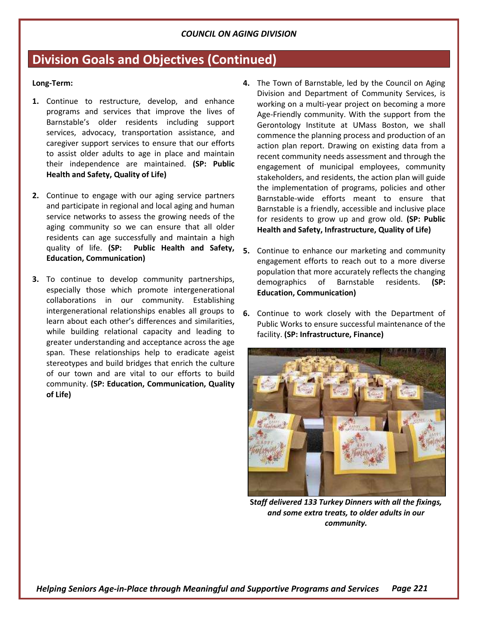### **Division Goals and Objectives (Continued)**

#### **Long-Term:**

- **1.** Continue to restructure, develop, and enhance programs and services that improve the lives of Barnstable's older residents including support services, advocacy, transportation assistance, and caregiver support services to ensure that our efforts to assist older adults to age in place and maintain their independence are maintained. **(SP: Public Health and Safety, Quality of Life)**
- **2.** Continue to engage with our aging service partners and participate in regional and local aging and human service networks to assess the growing needs of the aging community so we can ensure that all older residents can age successfully and maintain a high quality of life. **(SP: Public Health and Safety, Education, Communication)**
- **3.** To continue to develop community partnerships, especially those which promote intergenerational collaborations in our community. Establishing intergenerational relationships enables all groups to learn about each other's differences and similarities, while building relational capacity and leading to greater understanding and acceptance across the age span. These relationships help to eradicate ageist stereotypes and build bridges that enrich the culture of our town and are vital to our efforts to build community. **(SP: Education, Communication, Quality of Life)**
- **4.** The Town of Barnstable, led by the Council on Aging Division and Department of Community Services, is working on a multi-year project on becoming a more Age-Friendly community. With the support from the Gerontology Institute at UMass Boston, we shall commence the planning process and production of an action plan report. Drawing on existing data from a recent community needs assessment and through the engagement of municipal employees, community stakeholders, and residents, the action plan will guide the implementation of programs, policies and other Barnstable-wide efforts meant to ensure that Barnstable is a friendly, accessible and inclusive place for residents to grow up and grow old. **(SP: Public Health and Safety, Infrastructure, Quality of Life)**
- **5.** Continue to enhance our marketing and community engagement efforts to reach out to a more diverse population that more accurately reflects the changing demographics of Barnstable residents. **(SP: Education, Communication)**
- **6.** Continue to work closely with the Department of Public Works to ensure successful maintenance of the facility. **(SP: Infrastructure, Finance)**



**S***taff delivered 133 Turkey Dinners with all the fixings, and some extra treats, to older adults in our community.*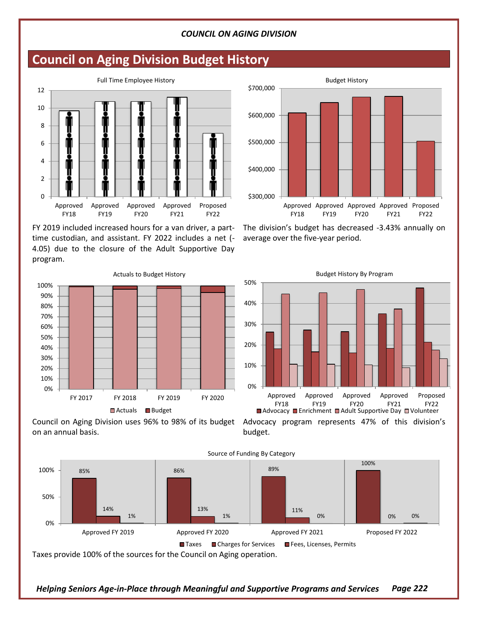### **Council on Aging Division Budget History**



FY 2019 included increased hours for a van driver, a parttime custodian, and assistant. FY 2022 includes a net (- 4.05) due to the closure of the Adult Supportive Day program.



Council on Aging Division uses 96% to 98% of its budget Advocacy program represents 47% of this division's on an annual basis.



budget.



The division's budget has decreased -3.43% annually on average over the five-year period.



*Helping Seniors Age-in-Place through Meaningful and Supportive Programs and Services Page 222*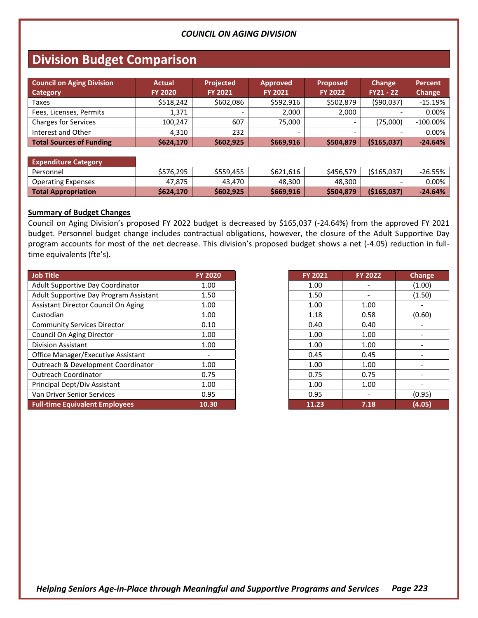### **Division Budget Comparison**

| <b>Council on Aging Division</b><br>Category | <b>Actual</b><br><b>FY 2020</b> | <b>Projected</b><br><b>FY 2021</b> | <b>Approved</b><br><b>FY 2021</b> | <b>Proposed</b><br><b>FY 2022</b> | <b>Change</b><br>$FY21 - 22$ | Percent<br>Change |
|----------------------------------------------|---------------------------------|------------------------------------|-----------------------------------|-----------------------------------|------------------------------|-------------------|
| Taxes                                        | \$518,242                       | \$602,086                          | \$592,916                         | \$502,879                         | (590,037)                    | $-15.19%$         |
| Fees, Licenses, Permits                      | 1.371                           | $\overline{\phantom{0}}$           | 2.000                             | 2.000                             | ۰                            | 0.00%             |
| <b>Charges for Services</b>                  | 100.247                         | 607                                | 75.000                            |                                   | (75,000)                     | $-100.00\%$       |
| Interest and Other                           | 4.310                           | 232                                |                                   |                                   |                              | 0.00%             |
| <b>Total Sources of Funding</b>              | \$624,170                       | \$602,925                          | \$669,916                         | \$504,879                         | (\$165,037)                  | $-24.64%$         |

#### **Expenditure Category** Personnel \$576,295 \$559,455 \$621,616 \$456,579 (\$165,037) -26.55% Operating Expenses 1 47,875 43,470 48,300 48,300 - 0.00% **Total Appropriation \$624,170 \$602,925 \$669,916 \$504,879 (\$165,037) -24.64%**

#### **Summary of Budget Changes**

Council on Aging Division's proposed FY 2022 budget is decreased by \$165,037 (-24.64%) from the approved FY 2021 budget. Personnel budget change includes contractual obligations, however, the closure of the Adult Supportive Day program accounts for most of the net decrease. This division's proposed budget shows a net (-4.05) reduction in fulltime equivalents (fte's).

| Job Title                              | <b>FY 2020</b> | <b>FY 2021</b> | <b>FY 2022</b> | Change |
|----------------------------------------|----------------|----------------|----------------|--------|
| Adult Supportive Day Coordinator       | 1.00           | 1.00           |                | (1.00) |
| Adult Supportive Day Program Assistant | 1.50           | 1.50           |                | (1.50) |
| Assistant Director Council On Aging    | 1.00           | 1.00           | 1.00           |        |
| Custodian                              | 1.00           | 1.18           | 0.58           | (0.60) |
| <b>Community Services Director</b>     | 0.10           | 0.40           | 0.40           |        |
| Council On Aging Director              | 1.00           | 1.00           | 1.00           |        |
| <b>Division Assistant</b>              | 1.00           | 1.00           | 1.00           |        |
| Office Manager/Executive Assistant     |                | 0.45           | 0.45           |        |
| Outreach & Development Coordinator     | 1.00           | 1.00           | 1.00           |        |
| <b>Outreach Coordinator</b>            | 0.75           | 0.75           | 0.75           |        |
| Principal Dept/Div Assistant           | 1.00           | 1.00           | 1.00           |        |
| Van Driver Senior Services             | 0.95           | 0.95           |                | (0.95) |
| <b>Full-time Equivalent Employees</b>  | 10.30          | 11.23          | 7.18           | (4.05) |

| <b>FY 2021</b> | <b>FY 2022</b> | Change |
|----------------|----------------|--------|
| 1.00           |                | (1.00) |
| 1.50           |                | (1.50) |
| 1.00           | 1.00           |        |
| 1.18           | 0.58           | (0.60) |
| 0.40           | 0.40           |        |
| 1.00           | 1.00           |        |
| 1.00           | 1.00           |        |
| 0.45           | 0.45           |        |
| 1.00           | 1.00           |        |
| 0.75           | 0.75           |        |
| 1.00           | 1.00           |        |
| 0.95           |                | (0.95) |
| 11.23          | 7.18           | (4.05) |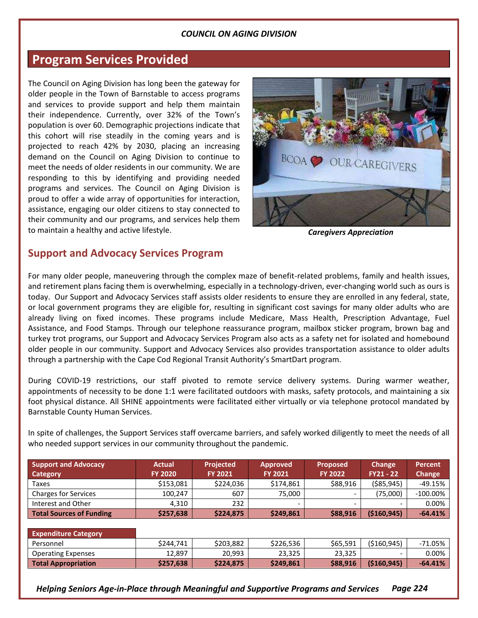### **Program Services Provided**

The Council on Aging Division has long been the gateway for older people in the Town of Barnstable to access programs and services to provide support and help them maintain their independence. Currently, over 32% of the Town's population is over 60. Demographic projections indicate that this cohort will rise steadily in the coming years and is projected to reach 42% by 2030, placing an increasing demand on the Council on Aging Division to continue to meet the needs of older residents in our community. We are responding to this by identifying and providing needed programs and services. The Council on Aging Division is proud to offer a wide array of opportunities for interaction, assistance, engaging our older citizens to stay connected to their community and our programs, and services help them to maintain a healthy and active lifestyle.



*Caregivers Appreciation*

### **Support and Advocacy Services Program**

For many older people, maneuvering through the complex maze of benefit-related problems, family and health issues, and retirement plans facing them is overwhelming, especially in a technology-driven, ever-changing world such as ours is today. Our Support and Advocacy Services staff assists older residents to ensure they are enrolled in any federal, state, or local government programs they are eligible for, resulting in significant cost savings for many older adults who are already living on fixed incomes. These programs include Medicare, Mass Health, Prescription Advantage, Fuel Assistance, and Food Stamps. Through our telephone reassurance program, mailbox sticker program, brown bag and turkey trot programs, our Support and Advocacy Services Program also acts as a safety net for isolated and homebound older people in our community. Support and Advocacy Services also provides transportation assistance to older adults through a partnership with the Cape Cod Regional Transit Authority's SmartDart program.

During COVID-19 restrictions, our staff pivoted to remote service delivery systems. During warmer weather, appointments of necessity to be done 1:1 were facilitated outdoors with masks, safety protocols, and maintaining a six foot physical distance. All SHINE appointments were facilitated either virtually or via telephone protocol mandated by Barnstable County Human Services.

In spite of challenges, the Support Services staff overcame barriers, and safely worked diligently to meet the needs of all who needed support services in our community throughout the pandemic.

| <b>Support and Advocacy</b><br>Category | <b>Actual</b><br><b>FY 2020</b> | <b>Projected</b><br><b>FY 2021</b> | <b>Approved</b><br><b>FY 2021</b> | <b>Proposed</b><br><b>FY 2022</b> | <b>Change</b><br>$FY21 - 22$ | Percent<br>Change |
|-----------------------------------------|---------------------------------|------------------------------------|-----------------------------------|-----------------------------------|------------------------------|-------------------|
|                                         |                                 |                                    |                                   |                                   |                              |                   |
| Taxes                                   | \$153,081                       | \$224,036                          | \$174,861                         | \$88.916                          | $($ \$85,945)                | -49.15%           |
| <b>Charges for Services</b>             | 100.247                         | 607                                | 75.000                            |                                   | (75.000)                     | $-100.00\%$       |
| Interest and Other                      | 4.310                           | 232                                | $\overline{\phantom{0}}$          |                                   |                              | $0.00\%$          |
| Total Sources of Funding                | \$257,638                       | \$224,875                          | \$249,861                         | \$88,916                          | ( \$160, 945)                | $-64.41%$         |

| <b>Expenditure Category</b> |           |           |           |          |            |           |
|-----------------------------|-----------|-----------|-----------|----------|------------|-----------|
| Personnel                   | \$244.741 | \$203.882 | \$226,536 | \$65,591 | (5160.945) | -71.05%   |
| <b>Operating Expenses</b>   | 12,897    | 20,993    | 23,325    | 23,325   | -          | 0.00%     |
| <b>Total Appropriation</b>  | \$257,638 | \$224.875 | \$249,861 | \$88,916 | (5160.945) | $-64.41%$ |

*Helping Seniors Age-in-Place through Meaningful and Supportive Programs and Services Page 224*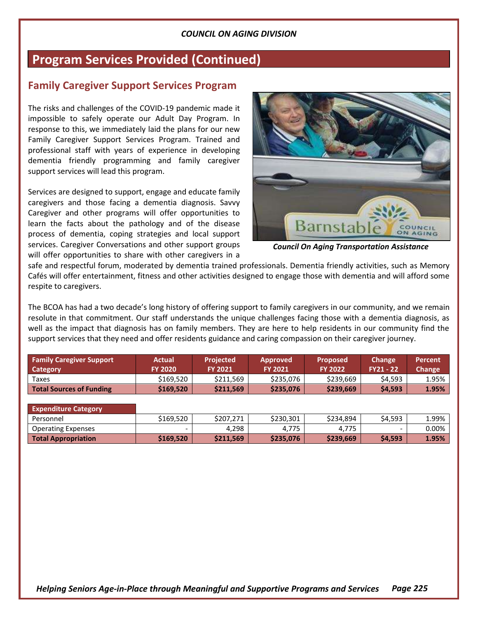### **Program Services Provided (Continued)**

### **Family Caregiver Support Services Program**

The risks and challenges of the COVID-19 pandemic made it impossible to safely operate our Adult Day Program. In response to this, we immediately laid the plans for our new Family Caregiver Support Services Program. Trained and professional staff with years of experience in developing dementia friendly programming and family caregiver support services will lead this program.

Services are designed to support, engage and educate family caregivers and those facing a dementia diagnosis. Savvy Caregiver and other programs will offer opportunities to learn the facts about the pathology and of the disease process of dementia, coping strategies and local support services. Caregiver Conversations and other support groups will offer opportunities to share with other caregivers in a



*Council On Aging Transportation Assistance*

safe and respectful forum, moderated by dementia trained professionals. Dementia friendly activities, such as Memory Cafés will offer entertainment, fitness and other activities designed to engage those with dementia and will afford some respite to caregivers.

The BCOA has had a two decade's long history of offering support to family caregivers in our community, and we remain resolute in that commitment. Our staff understands the unique challenges facing those with a dementia diagnosis, as well as the impact that diagnosis has on family members. They are here to help residents in our community find the support services that they need and offer residents guidance and caring compassion on their caregiver journey.

| <b>Family Caregiver Support</b> | <b>Actual</b>            | <b>Projected</b> | <b>Approved</b> | <b>Proposed</b> | Change                   | <b>Percent</b> |
|---------------------------------|--------------------------|------------------|-----------------|-----------------|--------------------------|----------------|
| <b>Category</b>                 | <b>FY 2020</b>           | <b>FY 2021</b>   | <b>FY 2021</b>  | <b>FY 2022</b>  | $FY21 - 22$              | Change         |
| Taxes                           | \$169,520                | \$211,569        | \$235,076       | \$239,669       | \$4,593                  | 1.95%          |
| <b>Total Sources of Funding</b> | \$169,520                | \$211,569        | \$235,076       | \$239,669       | \$4,593                  | 1.95%          |
|                                 |                          |                  |                 |                 |                          |                |
| <b>Expenditure Category</b>     |                          |                  |                 |                 |                          |                |
| Personnel                       | \$169,520                | \$207,271        | \$230,301       | \$234.894       | \$4,593                  | 1.99%          |
| <b>Operating Expenses</b>       | $\overline{\phantom{0}}$ | 4,298            | 4,775           | 4,775           | $\overline{\phantom{0}}$ | $0.00\%$       |

**Total Appropriation**  $\vert$  \$169,520  $\vert$  \$211,569  $\vert$  \$235,076  $\vert$  \$239,669  $\vert$  \$4,593  $\vert$  1.95%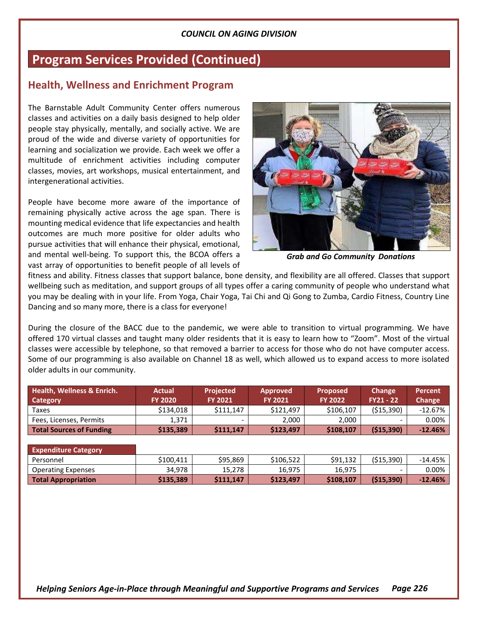### **Program Services Provided (Continued)**

### **Health, Wellness and Enrichment Program**

The Barnstable Adult Community Center offers numerous classes and activities on a daily basis designed to help older people stay physically, mentally, and socially active. We are proud of the wide and diverse variety of opportunities for learning and socialization we provide. Each week we offer a multitude of enrichment activities including computer classes, movies, art workshops, musical entertainment, and intergenerational activities.

People have become more aware of the importance of remaining physically active across the age span. There is mounting medical evidence that life expectancies and health outcomes are much more positive for older adults who pursue activities that will enhance their physical, emotional, and mental well-being. To support this, the BCOA offers a vast array of opportunities to benefit people of all levels of



*Grab and Go Community Donations*

fitness and ability. Fitness classes that support balance, bone density, and flexibility are all offered. Classes that support wellbeing such as meditation, and support groups of all types offer a caring community of people who understand what you may be dealing with in your life. From Yoga, Chair Yoga, Tai Chi and Qi Gong to Zumba, Cardio Fitness, Country Line Dancing and so many more, there is a class for everyone!

During the closure of the BACC due to the pandemic, we were able to transition to virtual programming. We have offered 170 virtual classes and taught many older residents that it is easy to learn how to "Zoom". Most of the virtual classes were accessible by telephone, so that removed a barrier to access for those who do not have computer access. Some of our programming is also available on Channel 18 as well, which allowed us to expand access to more isolated older adults in our community.

| <b>Health, Wellness &amp; Enrich.</b><br>Category | <b>Actual</b><br><b>FY 2020</b> | <b>Projected</b><br><b>FY 2021</b> | <b>Approved</b><br><b>FY 2021</b> | <b>Proposed</b><br><b>FY 2022</b> | <b>Change</b><br>$FY21 - 22$ | Percent<br>Change |
|---------------------------------------------------|---------------------------------|------------------------------------|-----------------------------------|-----------------------------------|------------------------------|-------------------|
| Taxes                                             | \$134.018                       | \$111.147                          | \$121.497                         | \$106.107                         | (515, 390)                   | $-12.67%$         |
| Fees, Licenses, Permits                           | 1.371                           | -                                  | 2.000                             | 2.000                             |                              | 0.00%             |
| Total Sources of Funding                          | \$135,389                       | \$111.147                          | \$123,497                         | \$108,107                         | ( \$15,390)                  | $-12.46%$         |

| <b>Expenditure Category</b> |           |           |           |           |           |           |
|-----------------------------|-----------|-----------|-----------|-----------|-----------|-----------|
| Personnel                   | \$100.411 | \$95,869  | \$106,522 | \$91.132  | (515.390) | $-14.45%$ |
| <b>Operating Expenses</b>   | 34.978    | 15.278    | 16,975    | 16,975    |           | $0.00\%$  |
| <b>Total Appropriation</b>  | \$135.389 | \$111.147 | \$123,497 | \$108.107 | (515.390) | $-12.46%$ |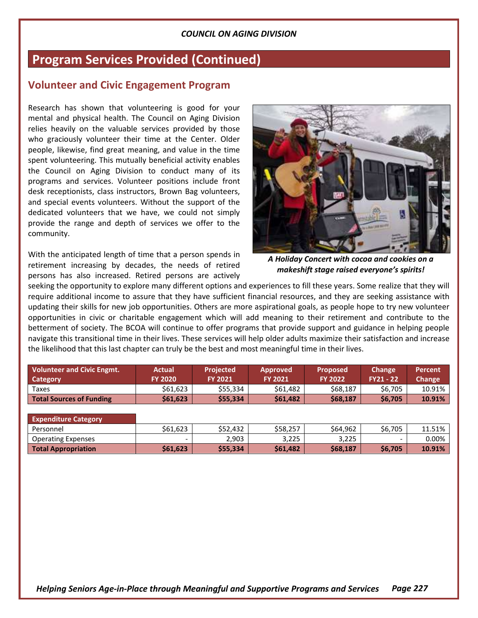### **Program Services Provided (Continued)**

### **Volunteer and Civic Engagement Program**

Research has shown that volunteering is good for your mental and physical health. The Council on Aging Division relies heavily on the valuable services provided by those who graciously volunteer their time at the Center. Older people, likewise, find great meaning, and value in the time spent volunteering. This mutually beneficial activity enables the Council on Aging Division to conduct many of its programs and services. Volunteer positions include front desk receptionists, class instructors, Brown Bag volunteers, and special events volunteers. Without the support of the dedicated volunteers that we have, we could not simply provide the range and depth of services we offer to the community.

With the anticipated length of time that a person spends in retirement increasing by decades, the needs of retired persons has also increased. Retired persons are actively



*A Holiday Concert with cocoa and cookies on a makeshift stage raised everyone's spirits!*

seeking the opportunity to explore many different options and experiences to fill these years. Some realize that they will require additional income to assure that they have sufficient financial resources, and they are seeking assistance with updating their skills for new job opportunities. Others are more aspirational goals, as people hope to try new volunteer opportunities in civic or charitable engagement which will add meaning to their retirement and contribute to the betterment of society. The BCOA will continue to offer programs that provide support and guidance in helping people navigate this transitional time in their lives. These services will help older adults maximize their satisfaction and increase the likelihood that this last chapter can truly be the best and most meaningful time in their lives.

| <b>Volunteer and Civic Engmt.</b><br>Category | Actual<br><b>FY 2020</b> | <b>Projected</b><br><b>FY 2021</b> | <b>Approved</b><br><b>FY 2021</b> | <b>Proposed</b><br><b>FY 2022</b> | Change<br><b>FY21 - 22</b> | <b>Percent</b><br>Change |
|-----------------------------------------------|--------------------------|------------------------------------|-----------------------------------|-----------------------------------|----------------------------|--------------------------|
| Taxes                                         | \$61,623                 | \$55,334                           | \$61,482                          | \$68,187                          | \$6,705                    | 10.91%                   |
| <b>Total Sources of Funding</b>               | \$61,623                 | \$55,334                           | \$61,482                          | \$68,187                          | \$6,705                    | 10.91%                   |

| <b>Expenditure Category</b> |          |          |          |          |         |        |
|-----------------------------|----------|----------|----------|----------|---------|--------|
| Personnel                   | \$61.623 | \$52,432 | \$58.257 | \$64,962 | \$6,705 | 11.51% |
| <b>Operating Expenses</b>   |          | 2.903    | 3.225    | 3.225    | -       | 0.00%  |
| <b>Total Appropriation</b>  | \$61,623 | \$55,334 | \$61,482 | \$68,187 | \$6,705 | 10.91% |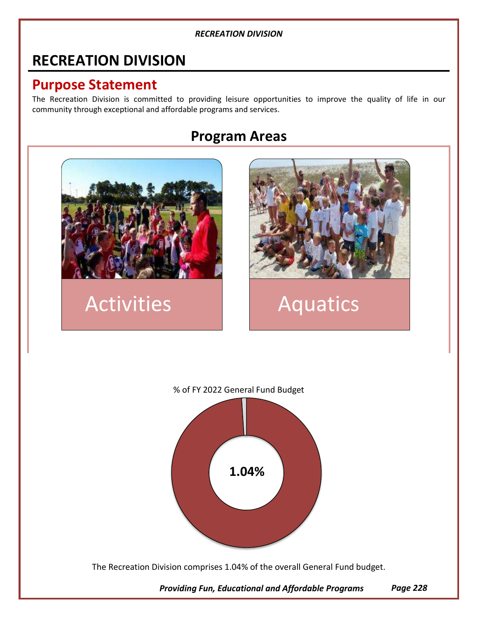### **RECREATION DIVISION**

### **Purpose Statement**

The Recreation Division is committed to providing leisure opportunities to improve the quality of life in our community through exceptional and affordable programs and services.

### **Program Areas**



## Activities | Aquatics





The Recreation Division comprises 1.04% of the overall General Fund budget.

*Providing Fun, Educational and Affordable Programs Page 228*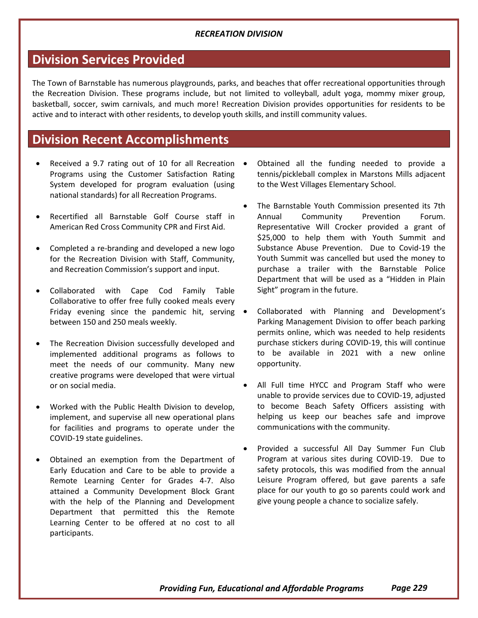### **Division Services Provided**

The Town of Barnstable has numerous playgrounds, parks, and beaches that offer recreational opportunities through the Recreation Division. These programs include, but not limited to volleyball, adult yoga, mommy mixer group, basketball, soccer, swim carnivals, and much more! Recreation Division provides opportunities for residents to be active and to interact with other residents, to develop youth skills, and instill community values.

### **Division Recent Accomplishments**

- Received a 9.7 rating out of 10 for all Recreation Programs using the Customer Satisfaction Rating System developed for program evaluation (using national standards) for all Recreation Programs.
- Recertified all Barnstable Golf Course staff in American Red Cross Community CPR and First Aid.
- Completed a re-branding and developed a new logo for the Recreation Division with Staff, Community, and Recreation Commission's support and input.
- Collaborated with Cape Cod Family Table Collaborative to offer free fully cooked meals every Friday evening since the pandemic hit, serving • between 150 and 250 meals weekly.
- The Recreation Division successfully developed and implemented additional programs as follows to meet the needs of our community. Many new creative programs were developed that were virtual or on social media.
- Worked with the Public Health Division to develop, implement, and supervise all new operational plans for facilities and programs to operate under the COVID-19 state guidelines.
- Obtained an exemption from the Department of Early Education and Care to be able to provide a Remote Learning Center for Grades 4-7. Also attained a Community Development Block Grant with the help of the Planning and Development Department that permitted this the Remote Learning Center to be offered at no cost to all participants.
- Obtained all the funding needed to provide a tennis/pickleball complex in Marstons Mills adjacent to the West Villages Elementary School.
- The Barnstable Youth Commission presented its 7th Annual Community Prevention Forum. Representative Will Crocker provided a grant of \$25,000 to help them with Youth Summit and Substance Abuse Prevention. Due to Covid-19 the Youth Summit was cancelled but used the money to purchase a trailer with the Barnstable Police Department that will be used as a "Hidden in Plain Sight" program in the future.
- Collaborated with Planning and Development's Parking Management Division to offer beach parking permits online, which was needed to help residents purchase stickers during COVID-19, this will continue to be available in 2021 with a new online opportunity.
- All Full time HYCC and Program Staff who were unable to provide services due to COVID-19, adjusted to become Beach Safety Officers assisting with helping us keep our beaches safe and improve communications with the community.
- Provided a successful All Day Summer Fun Club Program at various sites during COVID-19. Due to safety protocols, this was modified from the annual Leisure Program offered, but gave parents a safe place for our youth to go so parents could work and give young people a chance to socialize safely.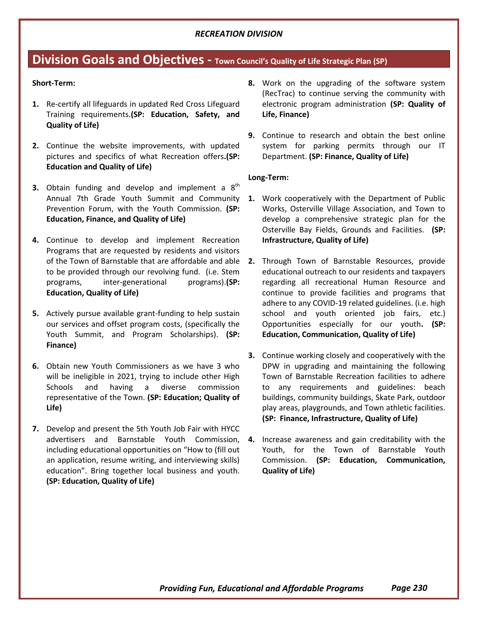### **Division Goals and Objectives - Town Council's Quality of Life Strategic Plan (SP)**

#### **Short-Term:**

- **1.** Re-certify all lifeguards in updated Red Cross Lifeguard Training requirements.**(SP: Education, Safety, and Quality of Life)**
- **2.** Continue the website improvements, with updated pictures and specifics of what Recreation offers**.(SP: Education and Quality of Life)**
- **3.** Obtain funding and develop and implement a 8<sup>th</sup> Annual 7th Grade Youth Summit and Community Prevention Forum, with the Youth Commission. **(SP: Education, Finance, and Quality of Life)**
- **4.** Continue to develop and implement Recreation Programs that are requested by residents and visitors to be provided through our revolving fund. (i.e. Stem programs, inter-generational programs).**(SP: Education, Quality of Life)**
- **5.** Actively pursue available grant-funding to help sustain our services and offset program costs, (specifically the Youth Summit, and Program Scholarships). **(SP: Finance)**
- **6.** Obtain new Youth Commissioners as we have 3 who will be ineligible in 2021, trying to include other High Schools and having a diverse commission representative of the Town. **(SP: Education; Quality of Life)**
- **7.** Develop and present the 5th Youth Job Fair with HYCC including educational opportunities on "How to (fill out an application, resume writing, and interviewing skills) education". Bring together local business and youth. **(SP: Education, Quality of Life)**
- **8.** Work on the upgrading of the software system (RecTrac) to continue serving the community with electronic program administration **(SP: Quality of Life, Finance)**
- **9.** Continue to research and obtain the best online system for parking permits through our IT Department. **(SP: Finance, Quality of Life)**

#### **Long-Term:**

- **1.** Work cooperatively with the Department of Public Works, Osterville Village Association, and Town to develop a comprehensive strategic plan for the Osterville Bay Fields, Grounds and Facilities. **(SP: Infrastructure, Quality of Life)**
- of the Town of Barnstable that are affordable and able **2.** Through Town of Barnstable Resources, provide educational outreach to our residents and taxpayers regarding all recreational Human Resource and continue to provide facilities and programs that adhere to any COVID-19 related guidelines. (i.e. high school and youth oriented job fairs, etc.) Opportunities especially for our youth**. (SP: Education, Communication, Quality of Life)**
	- **3.** Continue working closely and cooperatively with the DPW in upgrading and maintaining the following Town of Barnstable Recreation facilities to adhere to any requirements and guidelines: beach buildings, community buildings, Skate Park, outdoor play areas, playgrounds, and Town athletic facilities. **(SP: Finance, Infrastructure, Quality of Life)**
- advertisers and Barnstable Youth Commission, **4.** Increase awareness and gain creditability with the Youth, for the Town of Barnstable Youth Commission. **(SP: Education, Communication, Quality of Life)**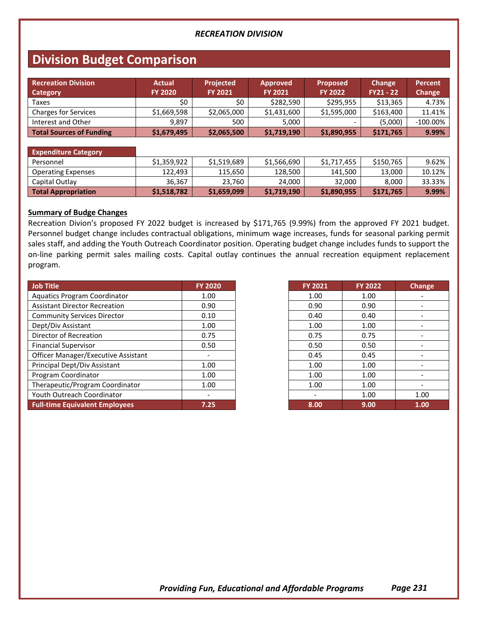### **Division Budget Comparison**

| Recreation Division<br>Category | <b>Actual</b><br><b>FY 2020</b> | <b>Projected</b><br><b>FY 2021</b> | <b>Approved</b><br><b>FY 2021</b> | <b>Proposed</b><br><b>FY 2022</b> | Change<br>$FY21 - 22$ | Percent<br>Change |
|---------------------------------|---------------------------------|------------------------------------|-----------------------------------|-----------------------------------|-----------------------|-------------------|
| Taxes                           | \$0                             | \$0 ·                              | \$282,590                         | \$295.955                         | \$13.365              | 4.73%             |
| <b>Charges for Services</b>     | \$1,669,598                     | \$2,065,000                        | \$1,431,600                       | \$1,595,000                       | \$163,400             | 11.41%            |
| Interest and Other              | 9.897                           | 500                                | 5.000                             |                                   | (5,000)               | $-100.00\%$       |
| <b>Total Sources of Funding</b> | \$1,679,495                     | \$2,065,500                        | \$1,719,190                       | \$1,890,955                       | \$171,765             | 9.99%             |

| <b>Expenditure Category</b> |             |             |             |             |           |        |
|-----------------------------|-------------|-------------|-------------|-------------|-----------|--------|
| Personnel                   | \$1.359.922 | \$1,519,689 | \$1,566,690 | \$1,717,455 | \$150.765 | 9.62%  |
| <b>Operating Expenses</b>   | 122.493     | 115,650     | 128,500     | 141.500     | 13.000    | 10.12% |
| Capital Outlay              | 36,367      | 23,760      | 24,000      | 32.000      | 8.000     | 33.33% |
| <b>Total Appropriation</b>  | \$1,518,782 | \$1,659,099 | \$1,719,190 | \$1,890,955 | \$171,765 | 9.99%  |

#### **Summary of Budge Changes**

Recreation Divion's proposed FY 2022 budget is increased by \$171,765 (9.99%) from the approved FY 2021 budget. Personnel budget change includes contractual obligations, minimum wage increases, funds for seasonal parking permit sales staff, and adding the Youth Outreach Coordinator position. Operating budget change includes funds to support the on-line parking permit sales mailing costs. Capital outlay continues the annual recreation equipment replacement program.

| Job Title                             | <b>FY 2020</b> | <b>FY 2021</b> | <b>FY 2022</b> | Change |
|---------------------------------------|----------------|----------------|----------------|--------|
| <b>Aquatics Program Coordinator</b>   | 1.00           | 1.00           | 1.00           |        |
| <b>Assistant Director Recreation</b>  | 0.90           | 0.90           | 0.90           |        |
| <b>Community Services Director</b>    | 0.10           | 0.40           | 0.40           |        |
| Dept/Div Assistant                    | 1.00           | 1.00           | 1.00           |        |
| Director of Recreation                | 0.75           | 0.75           | 0.75           |        |
| <b>Financial Supervisor</b>           | 0.50           | 0.50           | 0.50           |        |
| Officer Manager/Executive Assistant   |                | 0.45           | 0.45           |        |
| Principal Dept/Div Assistant          | 1.00           | 1.00           | 1.00           |        |
| Program Coordinator                   | 1.00           | 1.00           | 1.00           |        |
| Therapeutic/Program Coordinator       | 1.00           | 1.00           | 1.00           |        |
| Youth Outreach Coordinator            |                |                | 1.00           | 1.00   |
| <b>Full-time Equivalent Employees</b> | 7.25           | 8.00           | 9.00           | 1.00   |

| FY 2021 | <b>FY 2022</b> | <b>Change</b> |
|---------|----------------|---------------|
| 1.00    | 1.00           |               |
| 0.90    | 0.90           |               |
| 0.40    | 0.40           |               |
| 1.00    | 1.00           |               |
| 0.75    | 0.75           |               |
| 0.50    | 0.50           |               |
| 0.45    | 0.45           |               |
| 1.00    | 1.00           |               |
| 1.00    | 1.00           |               |
| 1.00    | 1.00           |               |
|         | 1.00           | 1.00          |
| 8.00    | 9.00           | 1.00          |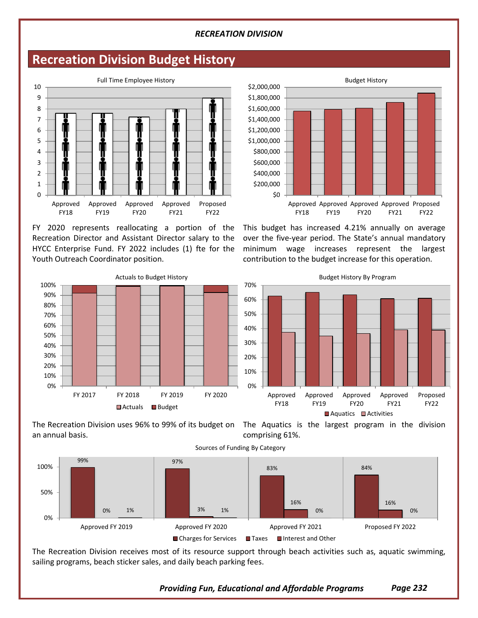### **Recreation Division Budget History**



FY 2020 represents reallocating a portion of the Recreation Director and Assistant Director salary to the HYCC Enterprise Fund. FY 2022 includes (1) fte for the Youth Outreach Coordinator position.



This budget has increased 4.21% annually on average over the five-year period. The State's annual mandatory minimum wage increases represent the largest contribution to the budget increase for this operation.





comprising 61%.



The Recreation Division receives most of its resource support through beach activities such as, aquatic swimming, sailing programs, beach sticker sales, and daily beach parking fees.

*Providing Fun, Educational and Affordable Programs Page 232*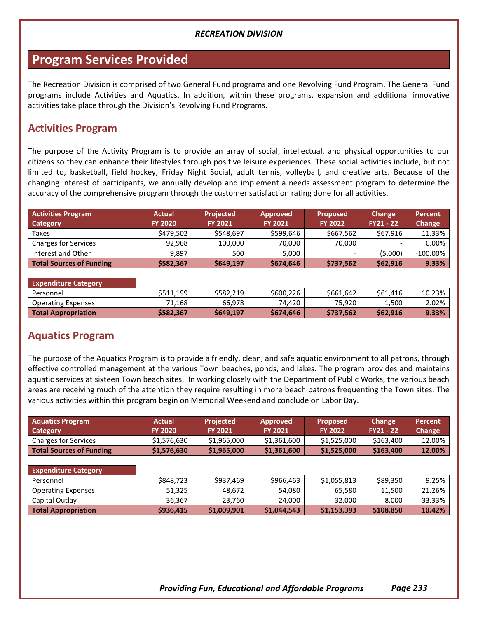### **Program Services Provided**

The Recreation Division is comprised of two General Fund programs and one Revolving Fund Program. The General Fund programs include Activities and Aquatics. In addition, within these programs, expansion and additional innovative activities take place through the Division's Revolving Fund Programs.

### **Activities Program**

The purpose of the Activity Program is to provide an array of social, intellectual, and physical opportunities to our citizens so they can enhance their lifestyles through positive leisure experiences. These social activities include, but not limited to, basketball, field hockey, Friday Night Social, adult tennis, volleyball, and creative arts. Because of the changing interest of participants, we annually develop and implement a needs assessment program to determine the accuracy of the comprehensive program through the customer satisfaction rating done for all activities.

| <b>Activities Program</b>       | <b>Actual</b>  | <b>Projected</b> | <b>Approved</b> | <b>Proposed</b> | Change           | <b>Percent</b> |
|---------------------------------|----------------|------------------|-----------------|-----------------|------------------|----------------|
| Category                        | <b>FY 2020</b> | <b>FY 2021</b>   | <b>FY 2021</b>  | <b>FY 2022</b>  | <b>FY21 - 22</b> | Change         |
| Taxes                           | \$479,502      | \$548,697        | \$599,646       | \$667,562       | \$67,916         | 11.33%         |
| <b>Charges for Services</b>     | 92.968         | 100,000          | 70.000          | 70.000          |                  | $0.00\%$       |
| Interest and Other              | 9.897          | 500              | 5.000           | -               | (5,000)          | $-100.00\%$    |
| <b>Total Sources of Funding</b> | \$582,367      | \$649,197        | \$674,646       | \$737,562       | \$62,916         | 9.33%          |

| <b>Expenditure Category</b> |           |           |           |           |          |          |
|-----------------------------|-----------|-----------|-----------|-----------|----------|----------|
| Personnel                   | \$511.199 | \$582.219 | \$600.226 | \$661.642 | \$61,416 | 10.23%   |
| <b>Operating Expenses</b>   | 71.168    | 66.978    | 74.420    | 75,920    | 1.500    | 2.02%    |
| <b>Total Appropriation</b>  | \$582,367 | \$649,197 | \$674,646 | \$737,562 | \$62,916 | $9.33\%$ |

### **Aquatics Program**

The purpose of the Aquatics Program is to provide a friendly, clean, and safe aquatic environment to all patrons, through effective controlled management at the various Town beaches, ponds, and lakes. The program provides and maintains aquatic services at sixteen Town beach sites. In working closely with the Department of Public Works, the various beach areas are receiving much of the attention they require resulting in more beach patrons frequenting the Town sites. The various activities within this program begin on Memorial Weekend and conclude on Labor Day.

| <b>Actual</b> | <b>Projected</b>              | <b>Approved</b>               | <b>Proposed</b>               | <b>Change</b>                 | <b>Percent</b><br><b>Change</b> |
|---------------|-------------------------------|-------------------------------|-------------------------------|-------------------------------|---------------------------------|
|               |                               |                               |                               |                               |                                 |
|               |                               |                               |                               |                               | 12.00%                          |
| \$1,576,630   | \$1,965,000                   | \$1,361,600                   | \$1,525,000                   | \$163,400                     | 12.00%                          |
|               |                               |                               |                               |                               |                                 |
|               |                               |                               |                               |                               |                                 |
| \$848,723     | \$937,469                     | \$966,463                     | \$1,055,813                   | \$89,350                      | 9.25%                           |
| 51,325        | 48,672                        | 54,080                        | 65,580                        | 11,500                        | 21.26%                          |
| 36,367        | 23,760                        | 24,000                        | 32,000                        | 8,000                         | 33.33%                          |
| \$936,415     | \$1,009,901                   | \$1,044,543                   | \$1,153,393                   | \$108,850                     | 10.42%                          |
|               | <b>FY 2020</b><br>\$1,576,630 | <b>FY 2021</b><br>\$1,965,000 | <b>FY 2021</b><br>\$1,361,600 | <b>FY 2022</b><br>\$1,525,000 | $FY21 - 22$<br>\$163,400        |